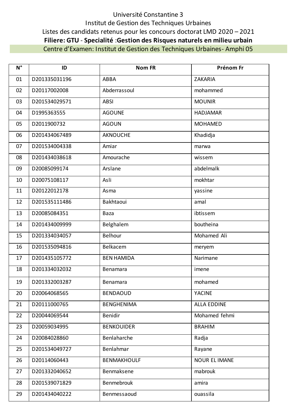## Université Constantine 3 Institut de Gestion des Techniques Urbaines Listes des candidats retenus pour les concours doctorat LMD 2020 – 2021 **Filiere: GTU** - **Specialité** :**Gestion des Risques naturels en milieu urbain** Centre d'Examen: Institut de Gestion des Techniques Urbaines- Amphi 05

| $N^{\circ}$ | ID            | <b>Nom FR</b>      | Prénom Fr            |
|-------------|---------------|--------------------|----------------------|
| 01          | D201335031196 | ABBA               | ZAKARIA              |
| 02          | D20117002008  | Abderrassoul       | mohammed             |
| 03          | D201534029571 | <b>ABSI</b>        | <b>MOUNIR</b>        |
| 04          | D1995363555   | <b>AGOUNE</b>      | <b>HADJAMAR</b>      |
| 05          | D2011900732   | <b>AGOUN</b>       | <b>MOHAMED</b>       |
| 06          | D201434067489 | <b>AKNOUCHE</b>    | Khadidja             |
| 07          | D201534004338 | Amiar              | marwa                |
| 08          | D201434038618 | Amourache          | wissem               |
| 09          | D20085099174  | Arslane            | abdelmalk            |
| 10          | D20075108117  | Asli               | mokhtar              |
| 11          | D20122012178  | Asma               | yassine              |
| 12          | D201535111486 | Bakhtaoui          | amal                 |
| 13          | D20085084351  | Baza               | ibtissem             |
| 14          | D201434009999 | Belghalem          | boutheina            |
| 15          | D201334034057 | Belhour            | Mohamed Ali          |
| 16          | D201535094816 | Belkacem           | meryem               |
| 17          | D201435105772 | <b>BEN HAMIDA</b>  | Narimane             |
| 18          | D201334032032 | Benamara           | imene                |
| 19          | D201332003287 | Benamara           | mohamed              |
| 20          | D20064068565  | <b>BENDAOUD</b>    | <b>YACINE</b>        |
| 21          | D20111000765  | <b>BENGHENIMA</b>  | ALLA EDDINE          |
| 22          | D20044069544  | Benidir            | Mohamed fehmi        |
| 23          | D20059034995  | <b>BENKOUIDER</b>  | <b>BRAHIM</b>        |
| 24          | D20084028860  | Benlaharche        | Radja                |
| 25          | D201534049727 | Benlahmar          | Rayane               |
| 26          | D20114060443  | <b>BENMAKHOULF</b> | <b>NOUR EL IMANE</b> |
| 27          | D201332040652 | Benmaksene         | mabrouk              |
| 28          | D201539071829 | Benmebrouk         | amira                |
| 29          | D201434040222 | Benmessaoud        | ouassila             |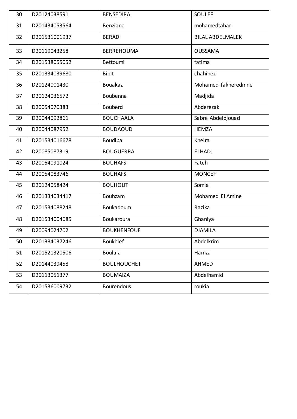| 30 | D20124038591  | <b>BENSEDIRA</b>   | <b>SOULEF</b>           |
|----|---------------|--------------------|-------------------------|
| 31 | D201434053564 | Benziane           | mohamedtahar            |
| 32 | D201531001937 | <b>BERADI</b>      | <b>BILAL ABDELMALEK</b> |
| 33 | D20119043258  | <b>BERREHOUMA</b>  | <b>OUSSAMA</b>          |
| 34 | D201538055052 | Bettoumi           | fatima                  |
| 35 | D201334039680 | <b>Bibit</b>       | chahinez                |
| 36 | D20124001430  | <b>Bouakaz</b>     | Mohamed fakheredinne    |
| 37 | D20124036572  | Boubenna           | Madjida                 |
| 38 | D20054070383  | <b>Bouberd</b>     | Abderezak               |
| 39 | D20044092861  | <b>BOUCHAALA</b>   | Sabre Abdeldjouad       |
| 40 | D20044087952  | <b>BOUDAOUD</b>    | <b>HEMZA</b>            |
| 41 | D201534016678 | <b>Boudiba</b>     | Kheira                  |
| 42 | D20085087319  | <b>BOUGUERRA</b>   | <b>ELHADJ</b>           |
| 43 | D20054091024  | <b>BOUHAFS</b>     | Fateh                   |
| 44 | D20054083746  | <b>BOUHAFS</b>     | <b>MONCEF</b>           |
| 45 | D20124058424  | <b>BOUHOUT</b>     | Somia                   |
| 46 | D201334034417 | Bouhzam            | Mohamed El Amine        |
| 47 | D201534088248 | Boukadoum          | Razika                  |
| 48 | D201534004685 | Boukaroura         | Ghaniya                 |
| 49 | D20094024702  | <b>BOUKHENFOUF</b> | <b>DJAMILA</b>          |
| 50 | D201334037246 | <b>Boukhlef</b>    | Abdelkrim               |
| 51 | D201521320506 | <b>Boulala</b>     | Hamza                   |
| 52 | D20144039458  | <b>BOULHOUCHET</b> | AHMED                   |
| 53 | D20113051377  | <b>BOUMAIZA</b>    | Abdelhamid              |
| 54 | D201536009732 | <b>Bourendous</b>  | roukia                  |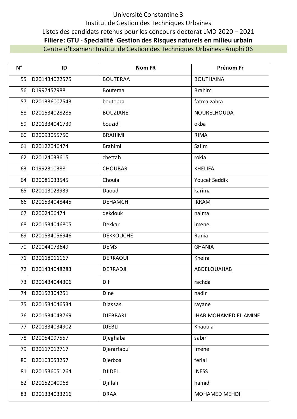## Université Constantine 3 Institut de Gestion des Techniques Urbaines Listes des candidats retenus pour les concours doctorat LMD 2020 – 2021 **Filiere: GTU** - **Specialité** :**Gestion des Risques naturels en milieu urbain** Centre d'Examen: Institut de Gestion des Techniques Urbaines- Amphi 06

| $N^{\circ}$ | ID            | <b>Nom FR</b>    | Prénom Fr             |
|-------------|---------------|------------------|-----------------------|
| 55          | D201434022575 | <b>BOUTERAA</b>  | <b>BOUTHAINA</b>      |
| 56          | D1997457988   | <b>Bouteraa</b>  | <b>Brahim</b>         |
| 57          | D201336007543 | boutobza         | fatma zahra           |
| 58          | D201534028285 | <b>BOUZIANE</b>  | NOURELHOUDA           |
| 59          | D201334041739 | bouzidi          | okba                  |
| 60          | D20093055750  | <b>BRAHIMI</b>   | <b>RIMA</b>           |
| 61          | D20122046474  | <b>Brahimi</b>   | Salim                 |
| 62          | D20124033615  | chettah          | rokia                 |
| 63          | D1992310388   | <b>CHOUBAR</b>   | <b>KHELIFA</b>        |
| 64          | D20081033545  | Chouia           | Youcef Seddik         |
| 65          | D20113023939  | Daoud            | karima                |
| 66          | D201534048445 | <b>DEHAMCHI</b>  | <b>IKRAM</b>          |
| 67          | D2002406474   | dekdouk          | naima                 |
| 68          | D201534046805 | Dekkar           | imene                 |
| 69          | D201534056946 | <b>DEKKOUCHE</b> | Rania                 |
| 70          | D20044073649  | <b>DEMS</b>      | <b>GHANIA</b>         |
| 71          | D20118011167  | <b>DERKAOUI</b>  | Kheira                |
| 72          | D201434048283 | <b>DERRADJI</b>  | ABDELOUAHAB           |
| 73          | D201434044306 | Dif              | rachda                |
| 74          | D20152304251  | Dine             | nadir                 |
| 75          | D201534046534 | Djassas          | rayane                |
| 76          | D201534043769 | <b>DJEBBARI</b>  | IHAB MOHAMED EL AMINE |
| 77          | D201334034902 | <b>DJEBLI</b>    | Khaoula               |
| 78          | D20054097557  | Djeghaba         | sabir                 |
| 79          | D20117012717  | Djerarfaoui      | Imene                 |
| 80          | D20103053257  | Djerboa          | ferial                |
| 81          | D201536051264 | <b>DJIDEL</b>    | <b>INESS</b>          |
| 82          | D20152040068  | Djillali         | hamid                 |
| 83          | D201334033216 | <b>DRAA</b>      | MOHAMED MEHDI         |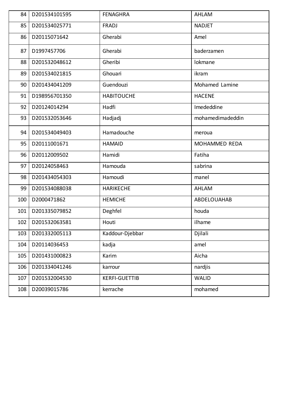| 84  | D201534101595     | <b>FENAGHRA</b>      | AHLAM            |
|-----|-------------------|----------------------|------------------|
| 85  | D201534025771     | <b>FRADJ</b>         | <b>NADJET</b>    |
| 86  | D20115071642      | Gherabi              | Amel             |
| 87  | D1997457706       | Gherabi              | baderzamen       |
| 88  | D201532048612     | Gheribi              | lokmane          |
| 89  | D201534021815     | Ghouari              | ikram            |
| 90  | D201434041209     | Guendouzi            | Mohamed Lamine   |
| 91  | D198956701350     | <b>HABITOUCHE</b>    | <b>HACENE</b>    |
| 92  | D20124014294      | Hadfi                | Imededdine       |
| 93  | D201532053646     | Hadjadj              | mohamedimadeddin |
| 94  | D201534049403     | Hamadouche           | meroua           |
| 95  | D20111001671      | <b>HAMAID</b>        | MOHAMMED REDA    |
| 96  | D20112009502      | Hamidi               | Fatiha           |
| 97  | D20124058463      | Hamouda              | sabrina          |
| 98  | D201434054303     | Hamoudi              | manel            |
| 99  | D201534088038     | <b>HARIKECHE</b>     | AHLAM            |
| 100 | D2000471862       | <b>HEMICHE</b>       | ABDELOUAHAB      |
| 101 | D201335079852     | Deghfel              | houda            |
| 102 | D201532063581     | Houti                | ilhame           |
|     | 103 D201332005113 | Kaddour-Djebbar      | Djilali          |
| 104 | D20114036453      | kadja                | amel             |
| 105 | D201431000823     | Karim                | Aicha            |
| 106 | D201334041246     | karrour              | nardjis          |
| 107 | D201532004530     | <b>KERFI-GUETTIB</b> | <b>WALID</b>     |
| 108 | D20039015786      | kerrache             | mohamed          |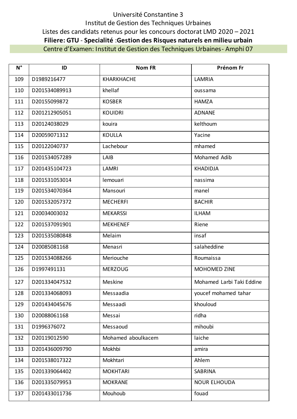## Université Constantine 3 Institut de Gestion des Techniques Urbaines Listes des candidats retenus pour les concours doctorat LMD 2020 - 2021 Filiere: GTU - Specialité : Gestion des Risques naturels en milieu urbain Centre d'Examen: Institut de Gestion des Techniques Urbaines - Amphi 07

| $N^{\circ}$ | ID            | <b>Nom FR</b>      | Prénom Fr                 |
|-------------|---------------|--------------------|---------------------------|
| 109         | D1989216477   | <b>KHARKHACHE</b>  | LAMRIA                    |
| 110         | D201534089913 | khellaf            | oussama                   |
| 111         | D20155099872  | <b>KOSBER</b>      | <b>HAMZA</b>              |
| 112         | D201212905051 | <b>KOUIDRI</b>     | <b>ADNANE</b>             |
| 113         | D20124038029  | kouira             | kelthoum                  |
| 114         | D20059071312  | <b>KOULLA</b>      | Yacine                    |
| 115         | D20122040737  | Lachebour          | mhamed                    |
| 116         | D201534057289 | LAIB               | Mohamed Adib              |
| 117         | D201435104723 | <b>LAMRI</b>       | <b>KHADIDJA</b>           |
| 118         | D201531053014 | lemouari           | nassima                   |
| 119         | D201534070364 | Mansouri           | manel                     |
| 120         | D201532057372 | <b>MECHERFI</b>    | <b>BACHIR</b>             |
| 121         | D20034003032  | <b>MEKARSSI</b>    | <b>ILHAM</b>              |
| 122         | D201537091901 | <b>MEKHENEF</b>    | Riene                     |
| 123         | D201535080848 | Melaim             | insaf                     |
| 124         | D20085081168  | Menasri            | salaheddine               |
| 125         | D201534088266 | Meriouche          | Roumaissa                 |
| 126         | D1997491131   | <b>MERZOUG</b>     | MOHOMED ZINE              |
| 127         | D201334047532 | Meskine            | Mohamed Larbi Taki Eddine |
| 128         | D201334068093 | Messaadia          | youcef mohamed tahar      |
| 129         | D201434045676 | Messaadi           | khouloud                  |
| 130         | D20088061168  | Messai             | ridha                     |
| 131         | D1996376072   | Messaoud           | mihoubi                   |
| 132         | D20119012590  | Mohamed aboulkacem | laiche                    |
| 133         | D201436009790 | Mokhbi             | amira                     |
| 134         | D201538017322 | Mokhtari           | Ahlem                     |
| 135         | D201339064402 | <b>MOKHTARI</b>    | SABRINA                   |
| 136         | D201335079953 | <b>MOKRANE</b>     | <b>NOUR ELHOUDA</b>       |
| 137         | D201433011736 | Mouhoub            | fouad                     |